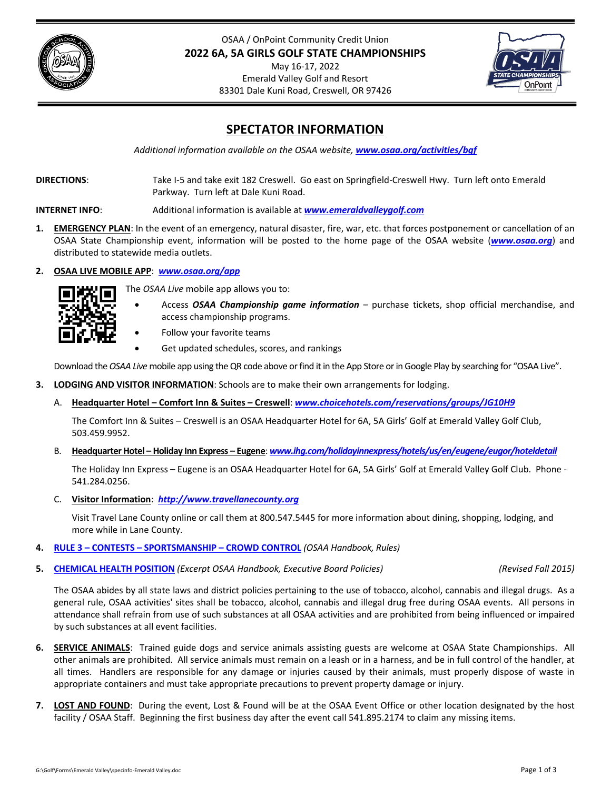



# **SPECTATOR INFORMATION**

*Additional information available on the OSAA website, [www.osaa.org/activities/bgf](https://www.osaa.org/activities/bgf)*

**DIRECTIONS**: Take I‐5 and take exit 182 Creswell. Go east on Springfield‐Creswell Hwy. Turn left onto Emerald Parkway. Turn left at Dale Kuni Road.

**INTERNET INFO**: Additional information is available at *[www.emeraldvalleygolf.com](https://emeraldvalleygolf.com)*

- **1. EMERGENCY PLAN**: In the event of an emergency, natural disaster, fire, war, etc. that forces postponement or cancellation of an OSAA State Championship event, information will be posted to the home page of the OSAA website (*[www.osaa.org](https://www.osaa.org)*) and distributed to statewide media outlets.
- **2. OSAA LIVE MOBILE APP**: *[www.osaa.org/app](https://www.osaa.org/app)*



The *OSAA Live* mobile app allows you to:

- Access *OSAA Championship game information* purchase tickets, shop official merchandise, and access championship programs.
- Follow your favorite teams
	- Get updated schedules, scores, and rankings

Download the OSAA Live mobile app using the QR code above or find it in the App Store or in Google Play by searching for "OSAA Live".

- **3. LODGING AND VISITOR INFORMATION**: Schools are to make their own arrangements for lodging.
	- A. **Headquarter Hotel – Comfort Inn & Suites – Creswell**: *[www.choicehotels.com/reservations/groups/JG10H9](https://www.choicehotels.com/reservations/groups/JG10H9)*

The Comfort Inn & Suites – Creswell is an OSAA Headquarter Hotel for 6A, 5A Girls' Golf at Emerald Valley Golf Club, 503.459.9952.

B. **Headquarter Hotel – Holiday Inn Express – Eugene**: *[www.ihg.com/holidayinnexpress/hotels/us/en/eugene/eugor/hoteldetail](https://www.osaa.org/governance/handbooks/osaa#_Toc456100266)*

The Holiday Inn Express – Eugene is an OSAA Headquarter Hotel for 6A, 5A Girls' Golf at Emerald Valley Golf Club. Phone ‐ 541.284.0256.

C. **Visitor Information**: *[http://www.travellanecounty.org](https://www.travellanecounty.org)*

Visit Travel Lane County online or call them at 800.547.5445 for more information about dining, shopping, lodging, and more while in Lane County.

- **4. RULE 3 – CONTESTS – [SPORTSMANSHIP](https://www.osaa.org/governance/handbooks/osaa#_Toc456100266) – CROWD CONTROL** *(OSAA Handbook, Rules)*
- **5. [CHEMICAL](https://www.osaa.org/governance/handbooks/osaa#_Toc456100333) HEALTH POSITION** *(Excerpt OSAA Handbook, Executive Board Policies) (Revised Fall 2015)*

The OSAA abides by all state laws and district policies pertaining to the use of tobacco, alcohol, cannabis and illegal drugs. As a general rule, OSAA activities' sites shall be tobacco, alcohol, cannabis and illegal drug free during OSAA events. All persons in attendance shall refrain from use of such substances at all OSAA activities and are prohibited from being influenced or impaired by such substances at all event facilities.

- **6. SERVICE ANIMALS**: Trained guide dogs and service animals assisting guests are welcome at OSAA State Championships. All other animals are prohibited. All service animals must remain on a leash or in a harness, and be in full control of the handler, at all times. Handlers are responsible for any damage or injuries caused by their animals, must properly dispose of waste in appropriate containers and must take appropriate precautions to prevent property damage or injury.
- **7. LOST AND FOUND**: During the event, Lost & Found will be at the OSAA Event Office or other location designated by the host facility / OSAA Staff. Beginning the first business day after the event call 541.895.2174 to claim any missing items.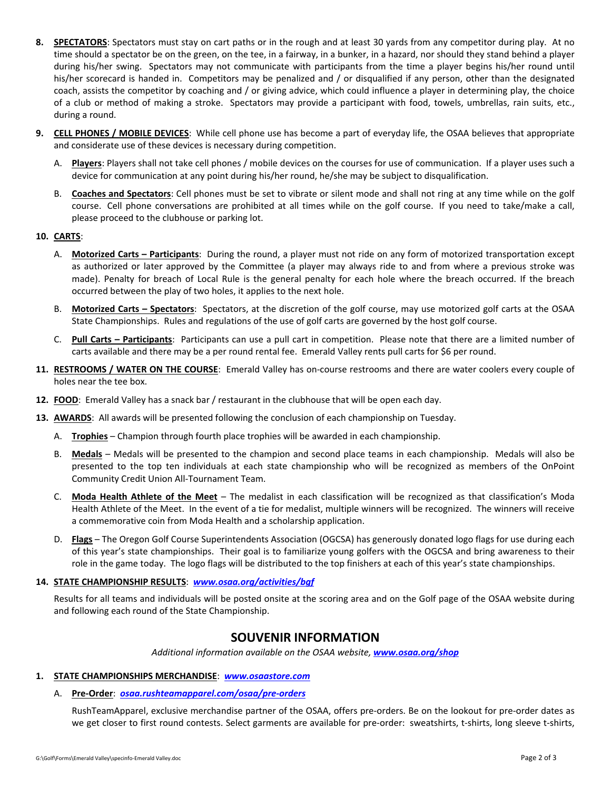- **8. SPECTATORS**: Spectators must stay on cart paths or in the rough and at least 30 yards from any competitor during play. At no time should a spectator be on the green, on the tee, in a fairway, in a bunker, in a hazard, nor should they stand behind a player during his/her swing. Spectators may not communicate with participants from the time a player begins his/her round until his/her scorecard is handed in. Competitors may be penalized and / or disqualified if any person, other than the designated coach, assists the competitor by coaching and / or giving advice, which could influence a player in determining play, the choice of a club or method of making a stroke. Spectators may provide a participant with food, towels, umbrellas, rain suits, etc., during a round.
- **9. CELL PHONES / MOBILE DEVICES**: While cell phone use has become a part of everyday life, the OSAA believes that appropriate and considerate use of these devices is necessary during competition.
	- A. **Players**: Players shall not take cell phones / mobile devices on the courses for use of communication. If a player uses such a device for communication at any point during his/her round, he/she may be subject to disqualification.
	- B. **Coaches and Spectators**: Cell phones must be set to vibrate or silent mode and shall not ring at any time while on the golf course. Cell phone conversations are prohibited at all times while on the golf course. If you need to take/make a call, please proceed to the clubhouse or parking lot.

# **10. CARTS**:

- A. **Motorized Carts – Participants**: During the round, a player must not ride on any form of motorized transportation except as authorized or later approved by the Committee (a player may always ride to and from where a previous stroke was made). Penalty for breach of Local Rule is the general penalty for each hole where the breach occurred. If the breach occurred between the play of two holes, it applies to the next hole.
- B. **Motorized Carts – Spectators**: Spectators, at the discretion of the golf course, may use motorized golf carts at the OSAA State Championships. Rules and regulations of the use of golf carts are governed by the host golf course.
- C. **Pull Carts – Participants**: Participants can use a pull cart in competition. Please note that there are a limited number of carts available and there may be a per round rental fee. Emerald Valley rents pull carts for \$6 per round.
- **11. RESTROOMS / WATER ON THE COURSE**: Emerald Valley has on‐course restrooms and there are water coolers every couple of holes near the tee box.
- **12. FOOD**: Emerald Valley has a snack bar / restaurant in the clubhouse that will be open each day.
- **13. AWARDS**: All awards will be presented following the conclusion of each championship on Tuesday.
	- A. **Trophies** Champion through fourth place trophies will be awarded in each championship.
	- B. **Medals** Medals will be presented to the champion and second place teams in each championship. Medals will also be presented to the top ten individuals at each state championship who will be recognized as members of the OnPoint Community Credit Union All‐Tournament Team.
	- C. **Moda Health Athlete of the Meet** The medalist in each classification will be recognized as that classification's Moda Health Athlete of the Meet. In the event of a tie for medalist, multiple winners will be recognized. The winners will receive a commemorative coin from Moda Health and a scholarship application.
	- D. **Flags** The Oregon Golf Course Superintendents Association (OGCSA) has generously donated logo flags for use during each of this year's state championships. Their goal is to familiarize young golfers with the OGCSA and bring awareness to their role in the game today. The logo flags will be distributed to the top finishers at each of this year's state championships.

### **14. STATE CHAMPIONSHIP RESULTS**:*[www.osaa.org/activities/bgf](https://www.osaa.org/activities/bgf)*

Results for all teams and individuals will be posted onsite at the scoring area and on the Golf page of the OSAA website during and following each round of the State Championship.

# **SOUVENIR INFORMATION**

*Additional information available on the OSAA website, [www.osaa.org/shop](https://www.osaa.org/shop)*

#### **1. STATE CHAMPIONSHIPS MERCHANDISE**: *[www.osaastore.com](https://osaastore.com)*

# A. **Pre‐Order**:*[osaa.rushteamapparel.com/osaa/pre](https://osaa.rushteamapparel.com/osaa/pre-orders)‐orders*

RushTeamApparel, exclusive merchandise partner of the OSAA, offers pre‐orders. Be on the lookout for pre‐order dates as we get closer to first round contests. Select garments are available for pre-order: sweatshirts, t-shirts, long sleeve t-shirts,